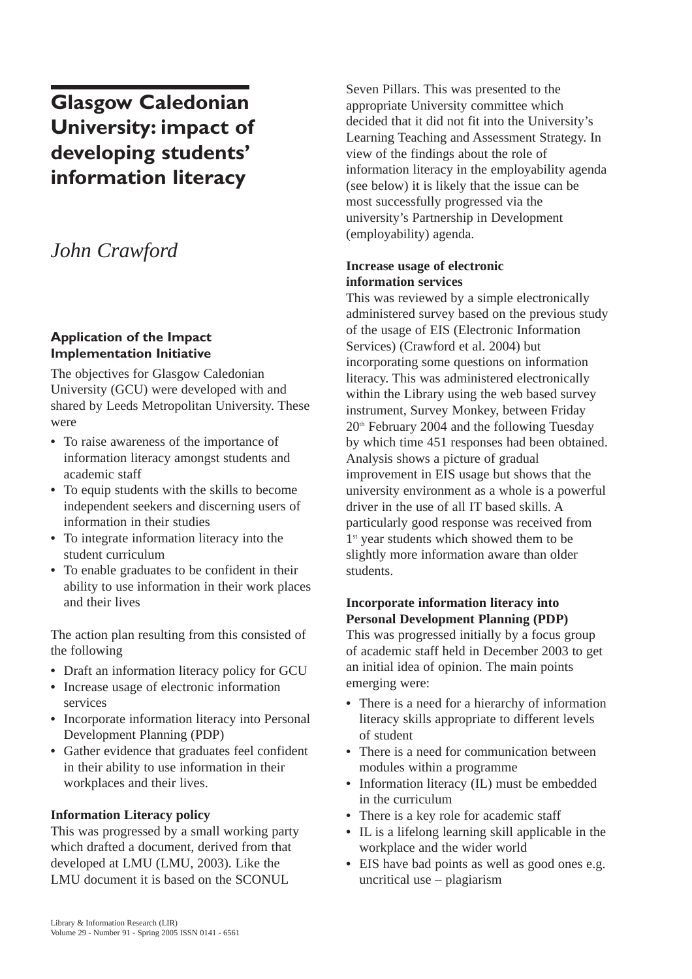# **Glasgow Caledonian University: impact of developing students' information literacy**

# *John Crawford*

# **Application of the Impact Implementation Initiative**

The objectives for Glasgow Caledonian University (GCU) were developed with and shared by Leeds Metropolitan University. These were

- **•** To raise awareness of the importance of information literacy amongst students and academic staff
- **•** To equip students with the skills to become independent seekers and discerning users of information in their studies
- **•** To integrate information literacy into the student curriculum
- **•** To enable graduates to be confident in their ability to use information in their work places and their lives

The action plan resulting from this consisted of the following

- **•** Draft an information literacy policy for GCU
- **•** Increase usage of electronic information services
- **•** Incorporate information literacy into Personal Development Planning (PDP)
- **•** Gather evidence that graduates feel confident in their ability to use information in their workplaces and their lives.

# **Information Literacy policy**

This was progressed by a small working party which drafted a document, derived from that developed at LMU (LMU, 2003). Like the LMU document it is based on the SCONUL

Seven Pillars. This was presented to the appropriate University committee which decided that it did not fit into the University's Learning Teaching and Assessment Strategy. In view of the findings about the role of information literacy in the employability agenda (see below) it is likely that the issue can be most successfully progressed via the university's Partnership in Development (employability) agenda.

#### **Increase usage of electronic information services**

This was reviewed by a simple electronically administered survey based on the previous study of the usage of EIS (Electronic Information Services) (Crawford et al. 2004) but incorporating some questions on information literacy. This was administered electronically within the Library using the web based survey instrument, Survey Monkey, between Friday  $20<sup>th</sup>$  February 2004 and the following Tuesday by which time 451 responses had been obtained. Analysis shows a picture of gradual improvement in EIS usage but shows that the university environment as a whole is a powerful driver in the use of all IT based skills. A particularly good response was received from 1<sup>st</sup> year students which showed them to be slightly more information aware than older students.

# **Incorporate information literacy into Personal Development Planning (PDP)**

This was progressed initially by a focus group of academic staff held in December 2003 to get an initial idea of opinion. The main points emerging were:

- **•** There is a need for a hierarchy of information literacy skills appropriate to different levels of student
- **•** There is a need for communication between modules within a programme
- **•** Information literacy (IL) must be embedded in the curriculum
- **•** There is a key role for academic staff
- **•** IL is a lifelong learning skill applicable in the workplace and the wider world
- **•** EIS have bad points as well as good ones e.g. uncritical use – plagiarism